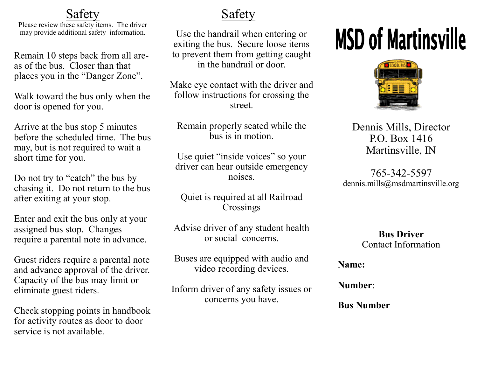### **Safety**

Please review these safety items. The driver may provide additional safety information.

Remain 10 steps back from all areas of the bus. Closer than that places you in the "Danger Zone".

Walk toward the bus only when the door is opened for you.

Arrive at the bus stop 5 minutes before the scheduled time. The bus may, but is not required to wait a short time for you.

Do not try to "catch" the bus by chasing it. Do not return to the bus after exiting at your stop.

Enter and exit the bus only at your assigned bus stop. Changes require a parental note in advance.

Guest riders require a parental note and advance approval of the driver. Capacity of the bus may limit or eliminate guest riders.

Check stopping points in handbook for activity routes as door to door service is not available.

## Safety

Use the handrail when entering or exiting the bus. Secure loose items to prevent them from getting caught in the handrail or door.

Make eye contact with the driver and follow instructions for crossing the street.

Remain properly seated while the bus is in motion.

Use quiet "inside voices" so your driver can hear outside emergency noises.

Quiet is required at all Railroad Crossings

Advise driver of any student health or social concerns.

Buses are equipped with audio and video recording devices.

Inform driver of any safety issues or concerns you have.

# **MSD of Martinsville**



#### Dennis Mills, Director P.O. Box 1416 Martinsville, IN

765-342-5597 dennis.mills@msdmartinsville.org

> **Bus Driver** Contact Information

**Name:** 

**Number**:

**Bus Number**